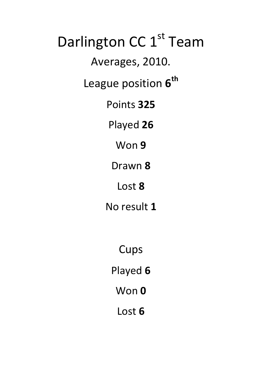Darlington CC 1<sup>st</sup> Team Averages, 2010. League position  $6<sup>th</sup>$ Points **325** Played **26** Won **9** Drawn **8** Lost **8** No result **1**

> **Cups** Played **6** Won **0**

> > Lost **6**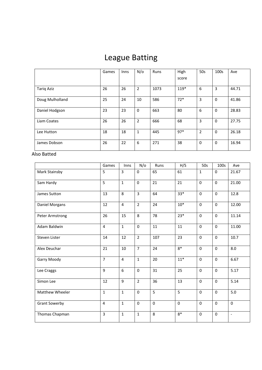# League Batting

|                   | Games | Inns | N/O | Runs | High<br>score | 50s            | 100s         | Ave   |
|-------------------|-------|------|-----|------|---------------|----------------|--------------|-------|
| <b>Tariq Aziz</b> | 26    | 26   | 2   | 1073 | 119*          | 6              | 3            | 44.71 |
| Doug Mulholland   | 25    | 24   | 10  | 586  | $72*$         | 3              | 0            | 41.86 |
| Daniel Hodgson    | 23    | 23   | 0   | 663  | 80            | 6              | $\mathbf{0}$ | 28.83 |
| Liam Coates       | 26    | 26   | 2   | 666  | 68            | 3              | $\mathbf 0$  | 27.75 |
| Lee Hutton        | 18    | 18   | 1   | 445  | $97*$         | $\overline{2}$ | $\mathbf 0$  | 26.18 |
| James Dobson      | 26    | 22   | 6   | 271  | 38            | $\mathbf 0$    | 0            | 16.94 |

Also Batted

|                        | Games          | Inns           | N/O            | Runs        | H/S         | 50s          | 100s         | Ave                      |
|------------------------|----------------|----------------|----------------|-------------|-------------|--------------|--------------|--------------------------|
| Mark Stainsby          | 5              | 3              | $\mathbf{0}$   | 65          | 61          | $\mathbf{1}$ | $\mathbf{0}$ | 21.67                    |
| Sam Hardy              | 5              | $\mathbf{1}$   | $\mathbf 0$    | 21          | 21          | $\mathbf 0$  | $\mathbf{0}$ | 21.00                    |
| James Sutton           | 13             | 8              | $\overline{3}$ | 64          | $33*$       | $\mathbf 0$  | $\mathbf 0$  | 12.8                     |
| Daniel Morgans         | 12             | $\overline{4}$ | $\overline{2}$ | 24          | $10*$       | $\mathbf 0$  | $\mathbf{0}$ | 12.00                    |
| Peter Armstrong        | 26             | 15             | 8              | 78          | $23*$       | $\mathbf 0$  | $\mathbf 0$  | 11.14                    |
| Adam Baldwin           | 4              | $1\,$          | $\mathbf 0$    | 11          | 11          | $\mathbf 0$  | $\mathbf 0$  | 11.00                    |
| Steven Lister          | 14             | 12             | $\overline{2}$ | 107         | 23          | $\mathbf{0}$ | $\mathbf 0$  | 10.7                     |
| Alex Deuchar           | 21             | 10             | $\overline{7}$ | 24          | $8*$        | $\mathbf 0$  | $\mathbf 0$  | 8.0                      |
| Garry Moody            | $\overline{7}$ | $\overline{4}$ | $\mathbf{1}$   | 20          | $11*$       | $\mathbf 0$  | $\mathbf 0$  | 6.67                     |
| Lee Craggs             | 9              | 6              | $\mathbf 0$    | 31          | 25          | $\mathbf 0$  | $\mathbf 0$  | 5.17                     |
| Simon Lee              | 12             | 9              | $\overline{2}$ | 36          | 13          | $\Omega$     | $\Omega$     | 5.14                     |
| <b>Matthew Wheeler</b> | $\mathbf{1}$   | $\mathbf{1}$   | $\mathbf{0}$   | 5           | 5           | $\mathbf 0$  | $\mathbf{0}$ | 5.0                      |
| <b>Grant Sowerby</b>   | $\overline{4}$ | $\mathbf 1$    | $\mathbf 0$    | $\mathbf 0$ | $\mathbf 0$ | $\mathbf 0$  | $\mathbf 0$  | $\mathbf 0$              |
| Thomas Chapman         | $\overline{3}$ | $\mathbf{1}$   | $\mathbf{1}$   | 8           | $8*$        | $\mathbf 0$  | $\mathbf 0$  | $\overline{\phantom{a}}$ |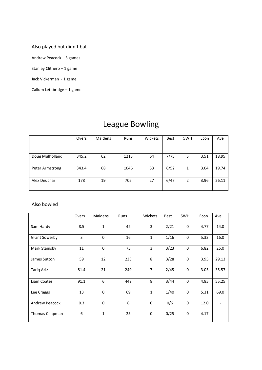### Also played but didn't bat

Andrew Peacock – 3 games

Stanley Clithero – 1 game

Jack Vickerman - 1 game

Callum Lethbridge – 1 game

|                 | Overs | <b>Maidens</b> | Runs | Wickets | <b>Best</b> | 5WH | Econ | Ave   |
|-----------------|-------|----------------|------|---------|-------------|-----|------|-------|
|                 |       |                |      |         |             |     |      |       |
| Doug Mulholland | 345.2 | 62             | 1213 | 64      | 7/75        | 5   | 3.51 | 18.95 |
| Peter Armstrong | 343.4 | 68             | 1046 | 53      | 6/52        | 1   | 3.04 | 19.74 |
| Alex Deuchar    | 178   | 19             | 705  | 27      | 6/47        | 2   | 3.96 | 26.11 |

## League Bowling

#### Also bowled

|                       | Overs          | Maidens      | Runs | Wickets        | Best | 5WH          | Econ | Ave   |
|-----------------------|----------------|--------------|------|----------------|------|--------------|------|-------|
| Sam Hardy             | 8.5            | $\mathbf{1}$ | 42   | 3              | 2/21 | 0            | 4.77 | 14.0  |
| <b>Grant Sowerby</b>  | $\overline{3}$ | $\Omega$     | 16   | $\mathbf{1}$   | 1/16 | $\Omega$     | 5.33 | 16.0  |
| Mark Stainsby         | 11             | $\Omega$     | 75   | 3              | 3/23 | $\Omega$     | 6.82 | 25.0  |
| James Sutton          | 59             | 12           | 233  | 8              | 3/28 | $\Omega$     | 3.95 | 29.13 |
| <b>Tariq Aziz</b>     | 81.4           | 21           | 249  | $\overline{7}$ | 2/45 | $\mathbf 0$  | 3.05 | 35.57 |
| Liam Coates           | 91.1           | 6            | 442  | 8              | 3/44 | $\mathbf 0$  | 4.85 | 55.25 |
| Lee Craggs            | 13             | $\Omega$     | 69   | $\mathbf{1}$   | 1/40 | $\Omega$     | 5.31 | 69.0  |
| <b>Andrew Peacock</b> | 0.3            | $\mathbf 0$  | 6    | $\Omega$       | 0/6  | $\mathbf{0}$ | 12.0 |       |
| Thomas Chapman        | 6              | $\mathbf{1}$ | 25   | $\mathbf 0$    | 0/25 | $\mathbf 0$  | 4.17 |       |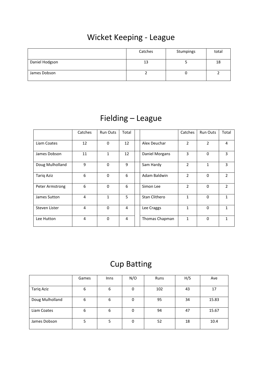# Wicket Keeping - League

|                | Catches | Stumpings | total |
|----------------|---------|-----------|-------|
| Daniel Hodgson | 13      |           | 18    |
| James Dobson   |         |           |       |

# Fielding – League

|                   | Catches | <b>Run Outs</b> | Total |                | Catches        | <b>Run Outs</b> | Total          |
|-------------------|---------|-----------------|-------|----------------|----------------|-----------------|----------------|
| Liam Coates       | 12      | $\Omega$        | 12    | Alex Deuchar   | $\overline{2}$ | $\overline{2}$  | 4              |
| James Dobson      | 11      | $\mathbf{1}$    | 12    | Daniel Morgans | 3              | $\Omega$        | 3              |
| Doug Mulholland   | 9       | $\Omega$        | 9     | Sam Hardy      | $\overline{2}$ | $\mathbf{1}$    | 3              |
| <b>Tariq Aziz</b> | 6       | $\mathbf{0}$    | 6     | Adam Baldwin   | $\overline{2}$ | $\Omega$        | $\overline{2}$ |
| Peter Armstrong   | 6       | $\mathbf{0}$    | 6     | Simon Lee      | $\overline{2}$ | $\Omega$        | $\overline{2}$ |
| James Sutton      | 4       | $\mathbf{1}$    | 5     | Stan Clithero  | 1              | $\Omega$        | 1              |
| Steven Lister     | 4       | $\Omega$        | 4     | Lee Craggs     | $\mathbf{1}$   | $\Omega$        | 1              |
| Lee Hutton        | 4       | $\Omega$        | 4     | Thomas Chapman | 1              | $\Omega$        | 1              |

# Cup Batting

|                   | Games | <b>Inns</b> | N/O | Runs | H/S | Ave   |
|-------------------|-------|-------------|-----|------|-----|-------|
| <b>Tariq Aziz</b> | 6     | 6           | 0   | 102  | 43  | 17    |
| Doug Mulholland   | 6     | 6           | 0   | 95   | 34  | 15.83 |
| Liam Coates       | 6     | 6           | 0   | 94   | 47  | 15.67 |
| James Dobson      | 5     | 5           | 0   | 52   | 18  | 10.4  |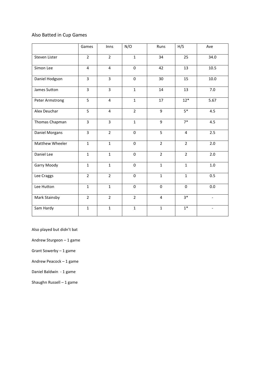### Also Batted in Cup Games

|                 | Games                   | Inns           | N/O            | Runs           | H/S            | Ave                      |
|-----------------|-------------------------|----------------|----------------|----------------|----------------|--------------------------|
| Steven Lister   | $\overline{2}$          | $\overline{2}$ | $\mathbf{1}$   | 34             | 25             | 34.0                     |
| Simon Lee       | $\overline{4}$          | $\overline{4}$ | $\mathbf 0$    | 42             | 13             | 10.5                     |
| Daniel Hodgson  | $\overline{3}$          | $\overline{3}$ | $\mathbf 0$    | 30             | 15             | 10.0                     |
| James Sutton    | $\overline{3}$          | $\overline{3}$ | $\mathbf{1}$   | 14             | 13             | 7.0                      |
| Peter Armstrong | 5                       | $\overline{4}$ | $\mathbf{1}$   | 17             | $12*$          | 5.67                     |
| Alex Deuchar    | 5                       | $\overline{4}$ | $\overline{2}$ | 9              | $5*$           | 4.5                      |
| Thomas Chapman  | $\overline{\mathbf{3}}$ | $\overline{3}$ | $\mathbf{1}$   | 9              | $7*$           | 4.5                      |
| Daniel Morgans  | $\overline{3}$          | $\overline{2}$ | $\mathbf 0$    | 5              | $\overline{4}$ | 2.5                      |
| Matthew Wheeler | $\mathbf{1}$            | $\mathbf{1}$   | $\mathbf 0$    | $\overline{2}$ | $\overline{2}$ | $2.0\,$                  |
| Daniel Lee      | $\mathbf{1}$            | $\mathbf{1}$   | $\mathbf 0$    | $\overline{2}$ | $\overline{2}$ | 2.0                      |
| Garry Moody     | $\mathbf{1}$            | $\mathbf{1}$   | $\mathbf 0$    | $\mathbf{1}$   | $\mathbf{1}$   | 1.0                      |
| Lee Craggs      | $\overline{2}$          | $\overline{2}$ | $\mathbf 0$    | $\mathbf{1}$   | $\mathbf{1}$   | 0.5                      |
| Lee Hutton      | $\mathbf{1}$            | $\mathbf{1}$   | $\mathbf 0$    | $\mathbf 0$    | $\mathbf 0$    | 0.0                      |
| Mark Stainsby   | $\overline{2}$          | $\overline{2}$ | $\overline{2}$ | $\overline{4}$ | $3*$           | $\blacksquare$           |
| Sam Hardy       | $\mathbf{1}$            | $\mathbf{1}$   | $\mathbf{1}$   | $\mathbf{1}$   | $1*$           | $\overline{\phantom{0}}$ |

Also played but didn't bat

Andrew Sturgeon – 1 game

Grant Sowerby – 1 game

Andrew Peacock – 1 game

Daniel Baldwin - 1 game

Shaughn Russell – 1 game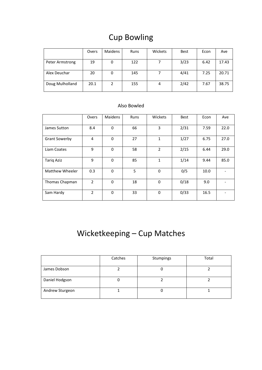# Cup Bowling

|                 | Overs | Maidens | <b>Runs</b> | Wickets | Best | Econ | Ave   |
|-----------------|-------|---------|-------------|---------|------|------|-------|
| Peter Armstrong | 19    | 0       | 122         |         | 3/23 | 6.42 | 17.43 |
| Alex Deuchar    | 20    | 0       | 145         |         | 4/41 | 7.25 | 20.71 |
| Doug Mulholland | 20.1  | 2       | 155         | 4       | 2/42 | 7.67 | 38.75 |

### Also Bowled

|                        | Overs          | Maidens  | <b>Runs</b> | Wickets        | <b>Best</b> | Econ | Ave  |
|------------------------|----------------|----------|-------------|----------------|-------------|------|------|
| James Sutton           | 8.4            | $\Omega$ | 66          | 3              | 2/31        | 7.59 | 22.0 |
| <b>Grant Sowerby</b>   | 4              | $\Omega$ | 27          | $\mathbf{1}$   | 1/27        | 6.75 | 27.0 |
| Liam Coates            | 9              | $\Omega$ | 58          | $\overline{2}$ | 2/15        | 6.44 | 29.0 |
| <b>Tarig Aziz</b>      | 9              | $\Omega$ | 85          | $\mathbf{1}$   | 1/14        | 9.44 | 85.0 |
| <b>Matthew Wheeler</b> | 0.3            | $\Omega$ | 5           | 0              | 0/5         | 10.0 |      |
| Thomas Chapman         | $\overline{2}$ | $\Omega$ | 18          | 0              | 0/18        | 9.0  |      |
| Sam Hardy              | $\overline{2}$ | 0        | 33          | 0              | 0/33        | 16.5 |      |

# Wicketkeeping – Cup Matches

|                 | Catches | Stumpings | Total |
|-----------------|---------|-----------|-------|
| James Dobson    |         |           |       |
| Daniel Hodgson  |         |           |       |
| Andrew Sturgeon |         |           |       |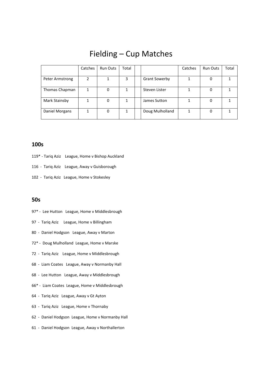### Fielding – Cup Matches

|                 | Catches | <b>Run Outs</b> | Total |                      | Catches | <b>Run Outs</b> | Total |
|-----------------|---------|-----------------|-------|----------------------|---------|-----------------|-------|
|                 |         |                 |       |                      |         |                 |       |
| Peter Armstrong | 2       |                 | 3     | <b>Grant Sowerby</b> |         | 0               |       |
|                 |         |                 |       |                      |         |                 |       |
| Thomas Chapman  |         | 0               |       | Steven Lister        |         | 0               |       |
|                 |         |                 |       |                      |         |                 |       |
| Mark Stainsby   |         | 0               |       | James Sutton         |         | 0               |       |
|                 |         |                 |       |                      |         |                 |       |
| Daniel Morgans  |         | 0               |       | Doug Mulholland      |         | 0               |       |
|                 |         |                 |       |                      |         |                 |       |

### **100s**

- 119\* Tariq Aziz League, Home v Bishop Auckland
- 116 Tariq Aziz League, Away v Guisborough
- 102 Tariq Aziz League, Home v Stokesley

### **50s**

- 97\* Lee Hutton League, Home v Middlesbrough
- 97 Tariq Aziz League, Home v Billingham
- 80 Daniel Hodgson League, Away v Marton
- 72\* Doug Mulholland League, Home v Marske
- 72 Tariq Aziz League, Home v Middlesbrough
- 68 Liam Coates League, Away v Normanby Hall
- 68 Lee Hutton League, Away v Middlesbrough
- 66\* Liam Coates League, Home v Middlesbrough
- 64 Tariq Aziz League, Away v Gt Ayton
- 63 Tariq Aziz League, Home v Thornaby
- 62 Daniel Hodgson League, Home v Normanby Hall
- 61 Daniel Hodgson League, Away v Northallerton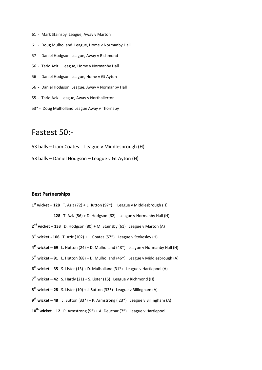- 61 Mark Stainsby League, Away v Marton
- 61 Doug Mulholland League, Home v Normanby Hall
- 57 Daniel Hodgson League, Away v Richmond
- 56 Tariq Aziz League, Home v Normanby Hall
- 56 Daniel Hodgson League, Home v Gt Ayton
- 56 Daniel Hodgson League, Away v Normanby Hall
- 55 Tariq Aziz League, Away v Northallerton
- 53\* Doug Mulholland League Away v Thornaby

### Fastest 50:-

53 balls – Liam Coates - League v Middlesbrough (H)

53 balls – Daniel Hodgson – League v Gt Ayton (H)

#### **Best Partnerships**

 **st wicket** – **128** T. Aziz (72) + L Hutton (97\*) League v Middlesbrough (H) **128** T. Aziz (56) + D. Hodgson (62) League v Normanby Hall (H) **nd wicket** – **133** D. Hodgson (80) + M. Stainsby (61) League v Marton (A) **rd wicket - 106** T. Aziz (102) + L. Coates (57\*) League v Stokesley (H) **th wicket** – **69** L. Hutton (24) + D. Mulholland (48\*) League v Normanby Hall (H) **th wicket** – **91** L. Hutton (68) + D. Mulholland (46\*) League v Middlesbrough (A) **th wicket** – **35** S. Lister (13) + D. Mulholland (31\*) League v Hartlepool (A) **th wicket** – **42** S. Hardy (21) + S. Lister (15) League v Richmond (H) **th wicket** – **28** S. Lister (10) + J. Sutton (33\*) League v Billingham (A) **th wicket** – **48** J. Sutton (33\*) + P. Armstrong ( 23\*) League v Billingham (A) **th wicket** – **12** P. Armstrong (9\*) + A. Deuchar (7\*) League v Hartlepool